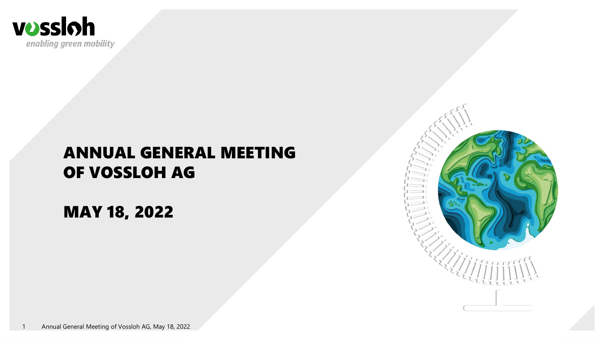

### ANNUAL GENERAL MEETING OF VOSSLOH AG

MAY 18, 2022

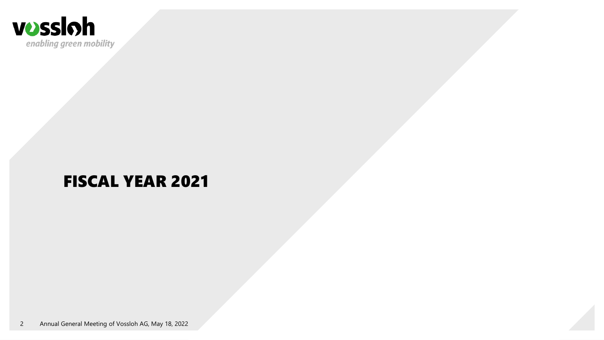

### FISCAL YEAR 2021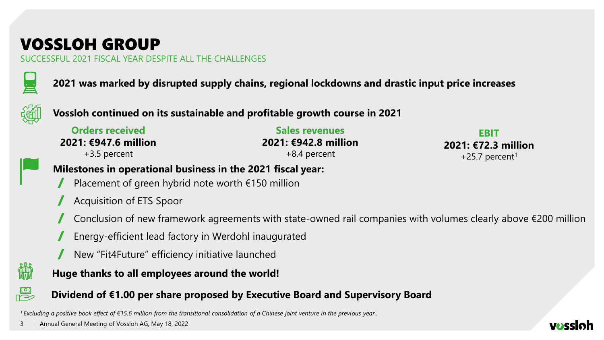# VOSSLOH GROUP

SSFUL 2021 FISCAL YEAR DESPITE ALL THE CHALLENGES



**2021 was marked by disrupted supply chains, regional lockdowns and drastic input price increases**



**Vossloh continued on its sustainable and profitable growth course in 2021**

**Orders received 2021: €947.6 million** +3.5 percent

**Sales revenues 2021: €942.8 million** +8.4 percent

**EBIT 2021: €72.3 million**  $+25.7$  percent<sup>1</sup>



豎

**Milestones in operational business in the 2021 fiscal year:** 

- Placement of green hybrid note worth  $£150$  million
- / Acquisition of ETS Spoor
- Conclusion of new framework agreements with state-owned rail companies with volumes clearly above  $\epsilon$ 200 million
- / Energy-efficient lead factory in Werdohl inaugurated
- / New "Fit4Future" efficiency initiative launched



#### **Dividend of €1.00 per share proposed by Executive Board and Supervisory Board**

*<sup>1</sup>Excluding a positive book effect of €15.6 million from the transitional consolidation of a Chinese joint venture in the previous year..* 

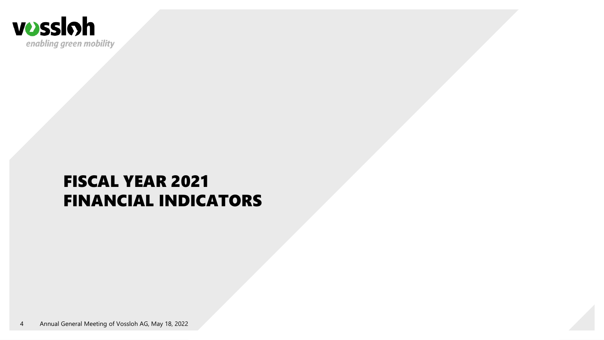

### FISCAL YEAR 2021 FINANCIAL INDICATORS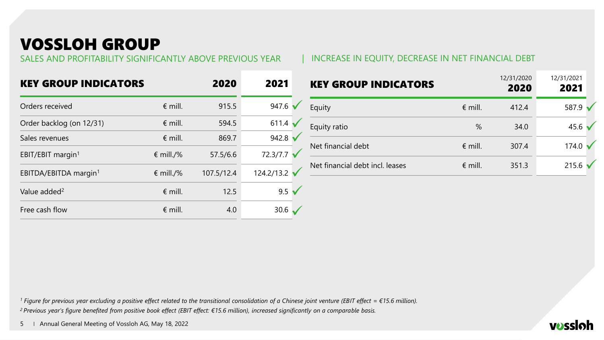### VOSSLOH GROUP

#### SALES AND PROFITABILITY SIGNIFICANTLY ABOVE PREVIOUS YEAR

| <b>KEY GROUP INDICATORS</b>       |                  | 2020       | 2021                  | K              |
|-----------------------------------|------------------|------------|-----------------------|----------------|
| Orders received                   | $\epsilon$ mill. | 915.5      | 947.6 $\sqrt{ }$      | $\overline{E}$ |
| Order backlog (on 12/31)          | $\epsilon$ mill. | 594.5      | 611.4                 | Eq             |
| Sales revenues                    | $\epsilon$ mill. | 869.7      | 942.8                 |                |
| EBIT/EBIT margin <sup>1</sup>     | € mill./%        | 57.5/6.6   | 72.3/7.7              | N <sub>6</sub> |
| EBITDA/EBITDA margin <sup>1</sup> | € mill./%        | 107.5/12.4 | 124.2/13.2 $\sqrt{ }$ | N <sub>6</sub> |
| Value added <sup>2</sup>          | $\epsilon$ mill. | 12.5       | $9.5\text{v}$         |                |
| Free cash flow                    | $\epsilon$ mill. | 4.0        | 30.6 $\sqrt$          |                |

#### | INCREASE IN EQUITY, DECREASE IN NET FINANCIAL DEBT

| <b>KEY GROUP INDICATORS</b>     |                  | 12/31/2020<br>2020 | 12/31/2021<br>2021 |
|---------------------------------|------------------|--------------------|--------------------|
| Equity                          | $\epsilon$ mill. | 412.4              | 587.9              |
| Equity ratio                    | %                | 34.0               | 45.6               |
| Net financial debt              | $\epsilon$ mill. | 307.4              |                    |
| Net financial debt incl. leases | $\epsilon$ mill. | 351.3              | 215.6              |

vossloh

*<sup>1</sup> Figure for previous year excluding a positive effect related to the transitional consolidation of a Chinese joint venture (EBIT effect = €15.6 million).* 

*<sup>2</sup>Previous year's figure benefited from positive book effect (EBIT effect: €15.6 million), increased significantly on a comparable basis.*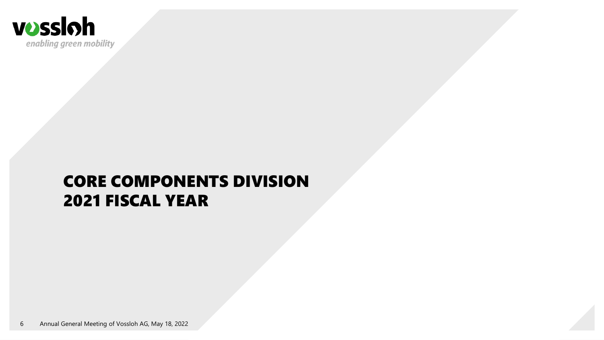

### CORE COMPONENTS DIVISION 2021 FISCAL YEAR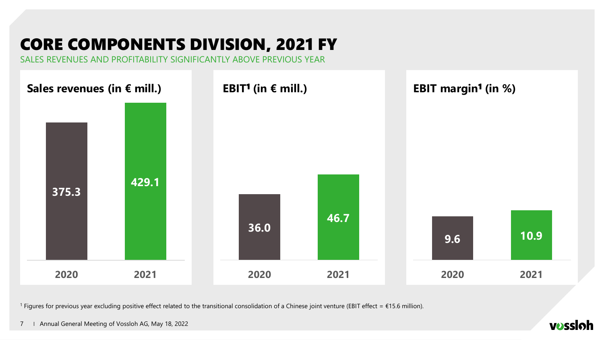# CORE COMPONENTS DIVISION, 2021 FY

SALES REVENUES AND PROFITABILITY SIGNIFICANTLY ABOVE PREVIOUS YEAR



<sup>1</sup> Figures for previous year excluding positive effect related to the transitional consolidation of a Chinese joint venture (EBIT effect =  $\epsilon$ 15.6 million).

#### vossloh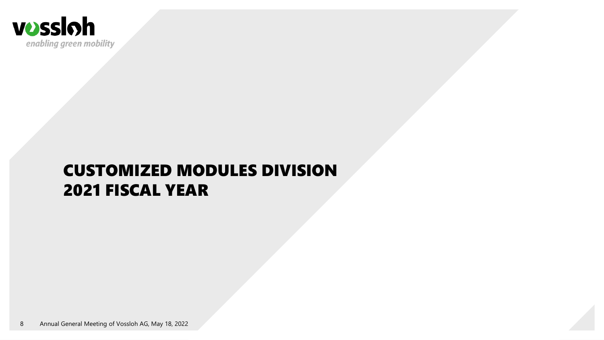

### CUSTOMIZED MODULES DIVISION 2021 FISCAL YEAR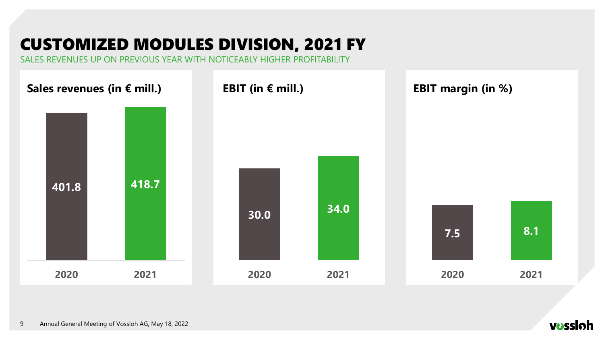# CUSTOMIZED MODULES DIVISION, 2021 FY

SALES REVENUES UP ON PREVIOUS YEAR WITH NOTICEABLY HIGHER PROFITABILITY



vossloh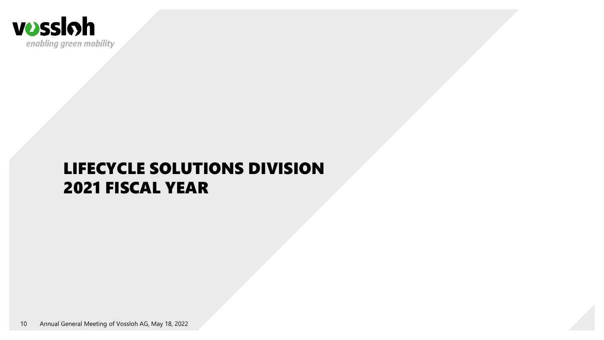

### LIFECYCLE SOLUTIONS DIVISION 2021 FISCAL YEAR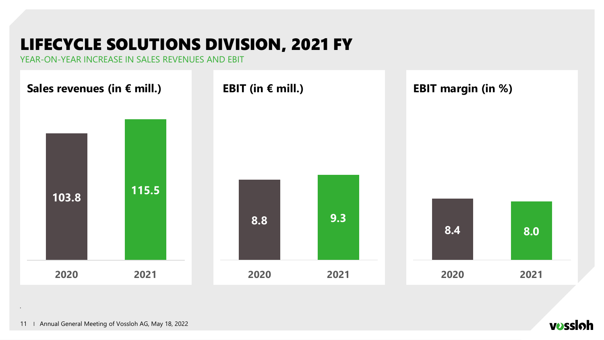# LIFECYCLE SOLUTIONS DIVISION, 2021 FY

YEAR-ON-YEAR INCREASE IN SALES REVENUES AND EBIT



*.*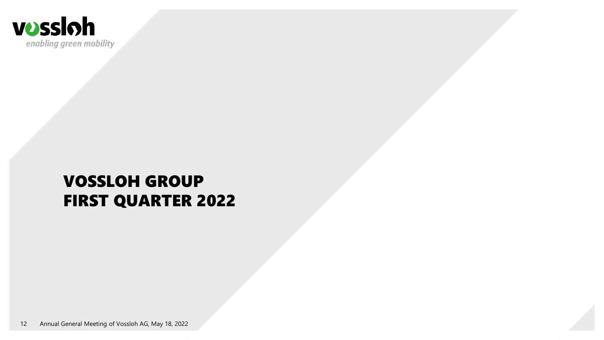

### VOSSLOH GROUP FIRST QUARTER 2022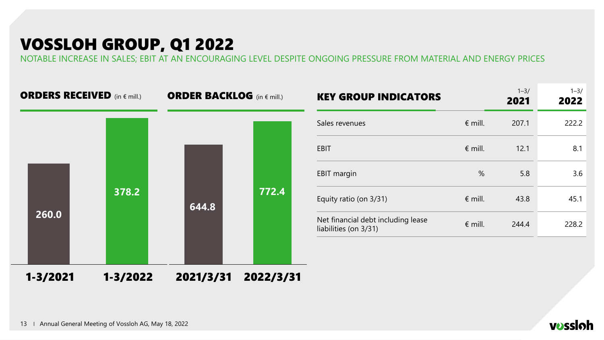### VOSSLOH GROUP, Q1 2022

NOTABLE INCREASE IN SALES; EBIT AT AN ENCOURAGING LEVEL DESPITE ONGOING PRESSURE FROM MATERIAL AND ENERGY PRICES



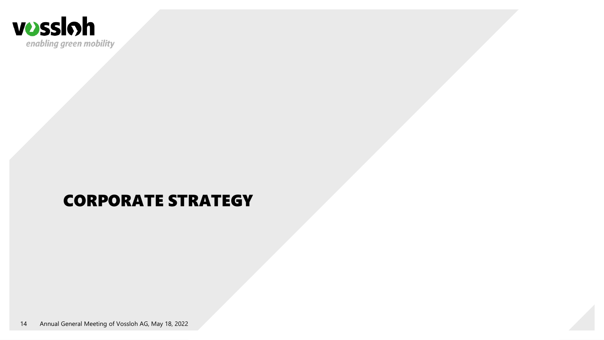

### CORPORATE STRATEGY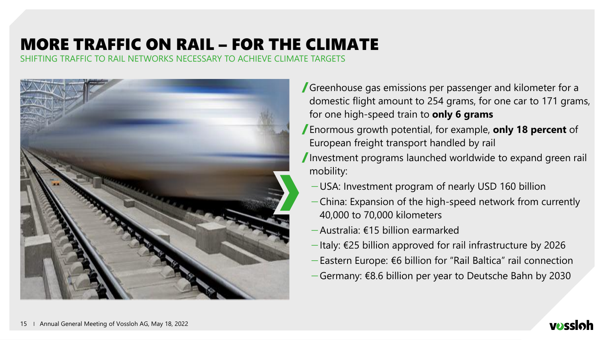# MORE TRAFFIC ON RAIL – FOR THE CLIMATE

SHIFTING TRAFFIC TO RAIL NETWORKS NECESSARY TO ACHIEVE CLIMATE TARGETS



/Greenhouse gas emissions per passenger and kilometer for a domestic flight amount to 254 grams, for one car to 171 grams, for one high-speed train to **only 6 grams**

/Enormous growth potential, for example, **only 18 percent** of European freight transport handled by rail

/Investment programs launched worldwide to expand green rail mobility:

- −USA: Investment program of nearly USD 160 billion
- − China: Expansion of the high-speed network from currently 40,000 to 70,000 kilometers
- −Australia: €15 billion earmarked
- −Italy: €25 billion approved for rail infrastructure by 2026
- −Eastern Europe: €6 billion for "Rail Baltica" rail connection
- −Germany: €8.6 billion per year to Deutsche Bahn by 2030

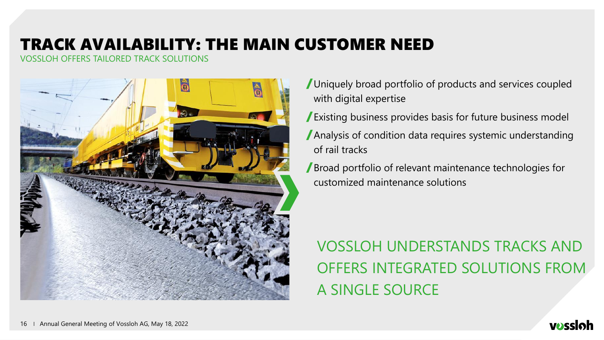# TRACK AVAILABILITY: THE MAIN CUSTOMER NEED

VOSSLOH OFFERS TAILORED TRACK SOLUTIONS



- /Uniquely broad portfolio of products and services coupled with digital expertise
- /Existing business provides basis for future business model
- /Analysis of condition data requires systemic understanding of rail tracks
- /Broad portfolio of relevant maintenance technologies for customized maintenance solutions

VOSSLOH UNDERSTANDS TRACKS AND OFFERS INTEGRATED SOLUTIONS FROM A SINGLE SOURCE

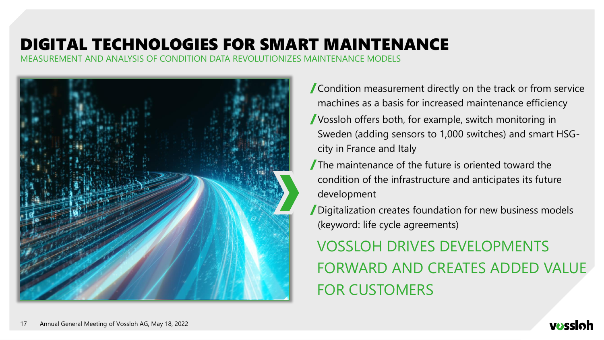# DIGITAL TECHNOLOGIES FOR SMART MAINTENANCE

MEASUREMENT AND ANALYSIS OF CONDITION DATA REVOLUTIONIZES MAINTENANCE MODELS



- /Condition measurement directly on the track or from service machines as a basis for increased maintenance efficiency
- /Vossloh offers both, for example, switch monitoring in Sweden (adding sensors to 1,000 switches) and smart HSGcity in France and Italy
- /The maintenance of the future is oriented toward the condition of the infrastructure and anticipates its future development
- /Digitalization creates foundation for new business models (keyword: life cycle agreements)

VOSSLOH DRIVES DEVELOPMENTS FORWARD AND CREATES ADDED VALUE FOR CUSTOMERS

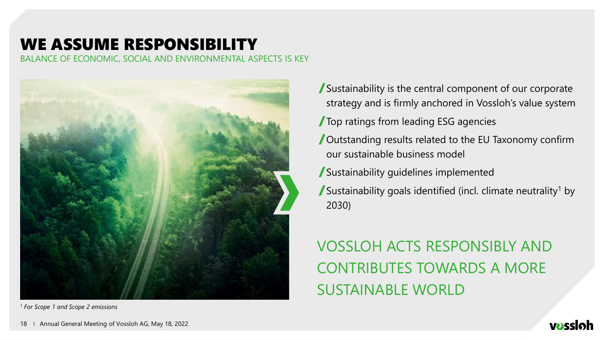#### WE ASSUME RESPONSIBILITY BALANCE OF ECONOMIC, SOCIAL AND ENVIRONMENTAL ASPECTS IS KEY



*<sup>1</sup> For Scope 1 and Scope 2 emissions*

- /Sustainability is the central component of our corporate strategy and is firmly anchored in Vossloh's value system
- /Top ratings from leading ESG agencies
- /Outstanding results related to the EU Taxonomy confirm our sustainable business model
- /Sustainability guidelines implemented
- Sustainability goals identified (incl. climate neutrality<sup>1</sup> by 2030)

VOSSLOH ACTS RESPONSIBLY AND CONTRIBUTES TOWARDS A MORE SUSTAINABLE WORLD

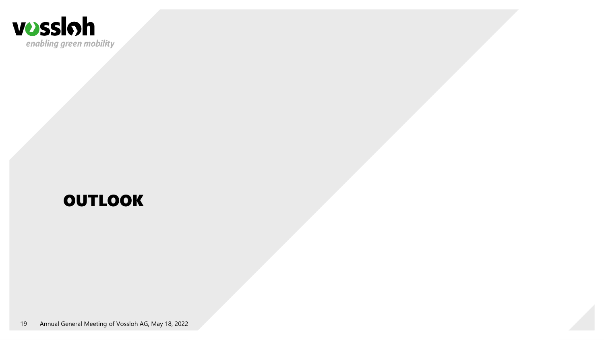

### **OUTLOOK**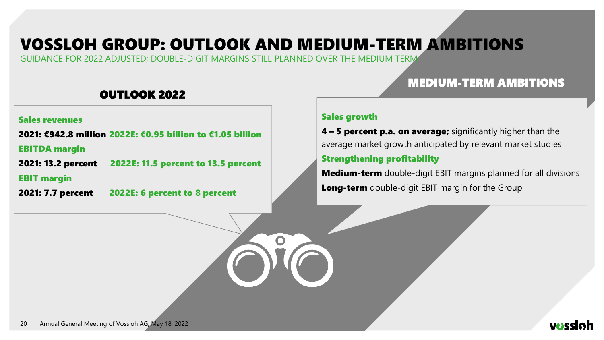# VOSSLOH GROUP: OUTLOOK AND MEDIUM-TERM AMBITIONS

GUIDANCE FOR 2022 ADJUSTED; DOUBLE-DIGIT MARGINS STILL PLANNED OVER THE MEDIUM TERM

#### OUTLOOK 2022

#### Sales revenues

2021: €942.8 million 2022E: €0.95 billion to €1.05 billion

#### EBITDA margin

2021: 13.2 percent 2022E: 11.5 percent to 13.5 percent

#### EBIT margin

2021: 7.7 percent 2022E: 6 percent to 8 percent

#### MEDIUM-TERM AMBITIONS

#### Sales growth

4 – 5 percent p.a. on average; significantly higher than the average market growth anticipated by relevant market studies Strengthening profitability

Medium-term double-digit EBIT margins planned for all divisions Long-term double-digit EBIT margin for the Group

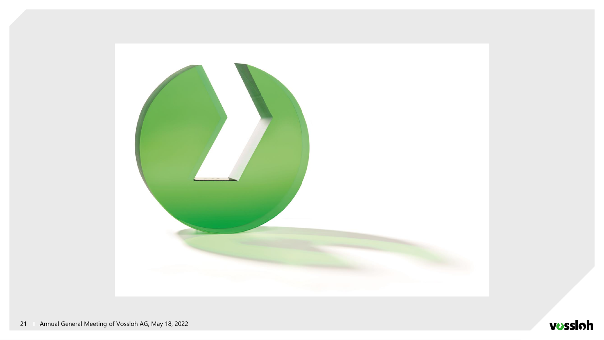